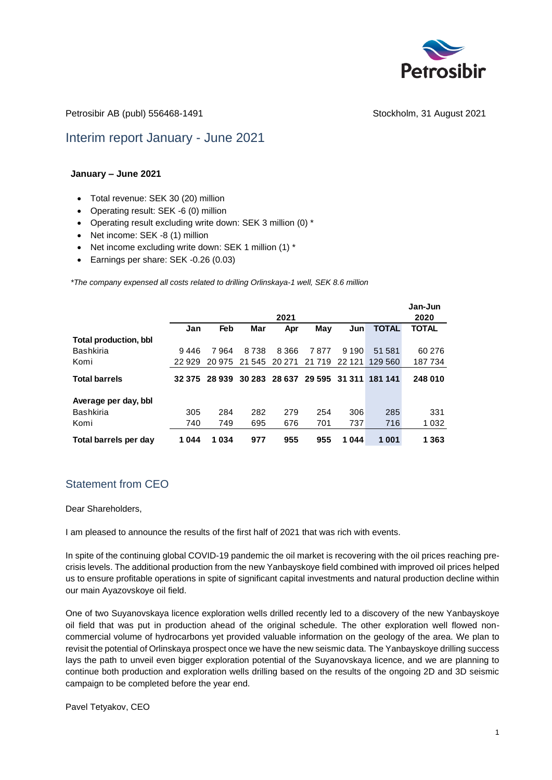

Petrosibir AB (publ) 556468-1491 Stockholm, 31 August 2021

# Interim report January - June 2021

#### **January – June 2021**

- Total revenue: SEK 30 (20) million
- Operating result: SEK -6 (0) million
- Operating result excluding write down: SEK 3 million (0) \*
- Net income: SEK -8 (1) million
- Net income excluding write down: SEK 1 million (1) \*
- Earnings per share: SEK -0.26 (0.03)

*\*The company expensed all costs related to drilling Orlinskaya-1 well, SEK 8.6 million*

|                              |        |        |                      | 2021    |         |         |                       | Jan-Jun<br>2020 |
|------------------------------|--------|--------|----------------------|---------|---------|---------|-----------------------|-----------------|
|                              | Jan    | Feb    | Mar                  | Apr     | May     | Jun     | <b>TOTAL</b>          | <b>TOTAL</b>    |
| <b>Total production, bbl</b> |        |        |                      |         |         |         |                       |                 |
| <b>Bashkiria</b>             | 9446   | 7964   | 8738                 | 8 3 6 6 | 7877    | 9 1 9 0 | 51 581                | 60 276          |
| Komi                         | 22929  | 20 975 | 21 545               | 20 271  | 21 7 19 | 22 1 21 | 129 560               | 187734          |
| <b>Total barrels</b>         | 32 375 |        | 28 939 30 283 28 637 |         |         |         | 29 595 31 311 181 141 | 248 010         |
| Average per day, bbl         |        |        |                      |         |         |         |                       |                 |
| <b>Bashkiria</b>             | 305    | 284    | 282                  | 279     | 254     | 306     | 285                   | 331             |
| Komi                         | 740    | 749    | 695                  | 676     | 701     | 737     | 716                   | 1 0 3 2         |
| Total barrels per day        | 1044   | 1034   | 977                  | 955     | 955     | 1044    | 1 001                 | 1 3 6 3         |

# Statement from CEO

Dear Shareholders,

I am pleased to announce the results of the first half of 2021 that was rich with events.

In spite of the continuing global COVID-19 pandemic the oil market is recovering with the oil prices reaching precrisis levels. The additional production from the new Yanbayskoye field combined with improved oil prices helped us to ensure profitable operations in spite of significant capital investments and natural production decline within our main Ayazovskoye oil field.

One of two Suyanovskaya licence exploration wells drilled recently led to a discovery of the new Yanbayskoye oil field that was put in production ahead of the original schedule. The other exploration well flowed noncommercial volume of hydrocarbons yet provided valuable information on the geology of the area. We plan to revisit the potential of Orlinskaya prospect once we have the new seismic data. The Yanbayskoye drilling success lays the path to unveil even bigger exploration potential of the Suyanovskaya licence, and we are planning to continue both production and exploration wells drilling based on the results of the ongoing 2D and 3D seismic campaign to be completed before the year end.

Pavel Tetyakov, CEO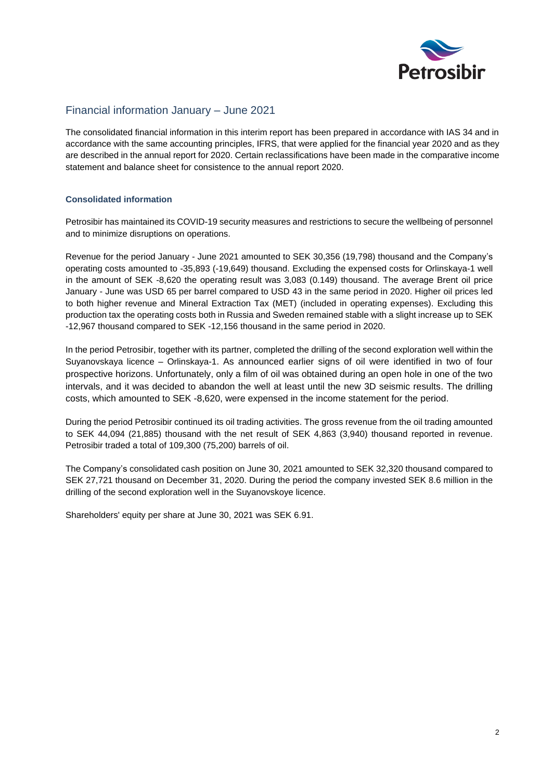

### Financial information January – June 2021

The consolidated financial information in this interim report has been prepared in accordance with IAS 34 and in accordance with the same accounting principles, IFRS, that were applied for the financial year 2020 and as they are described in the annual report for 2020. Certain reclassifications have been made in the comparative income statement and balance sheet for consistence to the annual report 2020.

#### **Consolidated information**

Petrosibir has maintained its COVID-19 security measures and restrictions to secure the wellbeing of personnel and to minimize disruptions on operations.

Revenue for the period January - June 2021 amounted to SEK 30,356 (19,798) thousand and the Company's operating costs amounted to -35,893 (-19,649) thousand. Excluding the expensed costs for Orlinskaya-1 well in the amount of SEK -8,620 the operating result was 3,083 (0.149) thousand. The average Brent oil price January - June was USD 65 per barrel compared to USD 43 in the same period in 2020. Higher oil prices led to both higher revenue and Mineral Extraction Tax (MET) (included in operating expenses). Excluding this production tax the operating costs both in Russia and Sweden remained stable with a slight increase up to SEK -12,967 thousand compared to SEK -12,156 thousand in the same period in 2020.

In the period Petrosibir, together with its partner, completed the drilling of the second exploration well within the Suyanovskaya licence – Orlinskaya-1. As announced earlier signs of oil were identified in two of four prospective horizons. Unfortunately, only a film of oil was obtained during an open hole in one of the two intervals, and it was decided to abandon the well at least until the new 3D seismic results. The drilling costs, which amounted to SEK -8,620, were expensed in the income statement for the period.

During the period Petrosibir continued its oil trading activities. The gross revenue from the oil trading amounted to SEK 44,094 (21,885) thousand with the net result of SEK 4,863 (3,940) thousand reported in revenue. Petrosibir traded a total of 109,300 (75,200) barrels of oil.

The Company's consolidated cash position on June 30, 2021 amounted to SEK 32,320 thousand compared to SEK 27,721 thousand on December 31, 2020. During the period the company invested SEK 8.6 million in the drilling of the second exploration well in the Suyanovskoye licence.

Shareholders' equity per share at June 30, 2021 was SEK 6.91.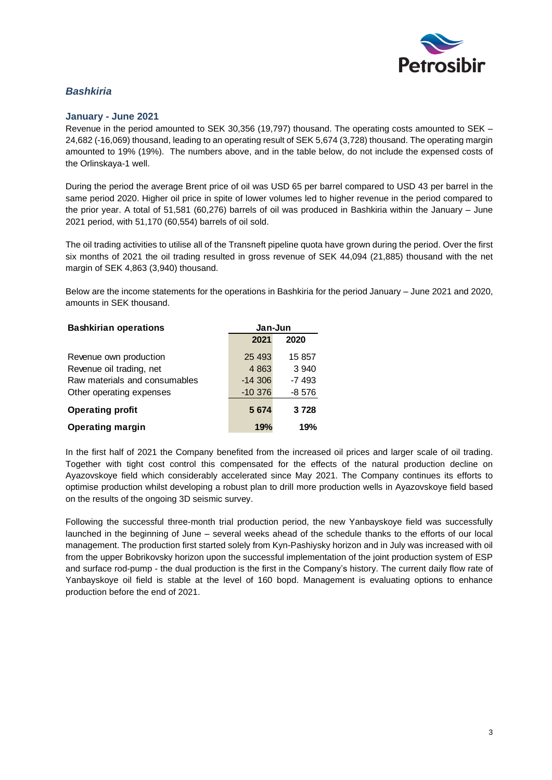

## *Bashkiria*

#### **January - June 2021**

Revenue in the period amounted to SEK 30,356 (19,797) thousand. The operating costs amounted to SEK – 24,682 (-16,069) thousand, leading to an operating result of SEK 5,674 (3,728) thousand. The operating margin amounted to 19% (19%). The numbers above, and in the table below, do not include the expensed costs of the Orlinskaya-1 well.

During the period the average Brent price of oil was USD 65 per barrel compared to USD 43 per barrel in the same period 2020. Higher oil price in spite of lower volumes led to higher revenue in the period compared to the prior year. A total of 51,581 (60,276) barrels of oil was produced in Bashkiria within the January – June 2021 period, with 51,170 (60,554) barrels of oil sold.

The oil trading activities to utilise all of the Transneft pipeline quota have grown during the period. Over the first six months of 2021 the oil trading resulted in gross revenue of SEK 44,094 (21,885) thousand with the net margin of SEK 4,863 (3,940) thousand.

Below are the income statements for the operations in Bashkiria for the period January – June 2021 and 2020, amounts in SEK thousand.

| <b>Bashkirian operations</b>  | Jan-Jun   |         |  |
|-------------------------------|-----------|---------|--|
|                               | 2021      | 2020    |  |
| Revenue own production        | 25 4 93   | 15 857  |  |
| Revenue oil trading, net      | 4 8 6 3   | 3 9 4 0 |  |
| Raw materials and consumables | $-14306$  | $-7493$ |  |
| Other operating expenses      | $-10.376$ | $-8576$ |  |
| <b>Operating profit</b>       | 5 6 7 4   | 3728    |  |
| <b>Operating margin</b>       | 19%       | 19%     |  |

In the first half of 2021 the Company benefited from the increased oil prices and larger scale of oil trading. Together with tight cost control this compensated for the effects of the natural production decline on Ayazovskoye field which considerably accelerated since May 2021. The Company continues its efforts to optimise production whilst developing a robust plan to drill more production wells in Ayazovskoye field based on the results of the ongoing 3D seismic survey.

Following the successful three-month trial production period, the new Yanbayskoye field was successfully launched in the beginning of June – several weeks ahead of the schedule thanks to the efforts of our local management. The production first started solely from Kyn-Pashiysky horizon and in July was increased with oil from the upper Bobrikovsky horizon upon the successful implementation of the joint production system of ESP and surface rod-pump - the dual production is the first in the Company's history. The current daily flow rate of Yanbayskoye oil field is stable at the level of 160 bopd. Management is evaluating options to enhance production before the end of 2021.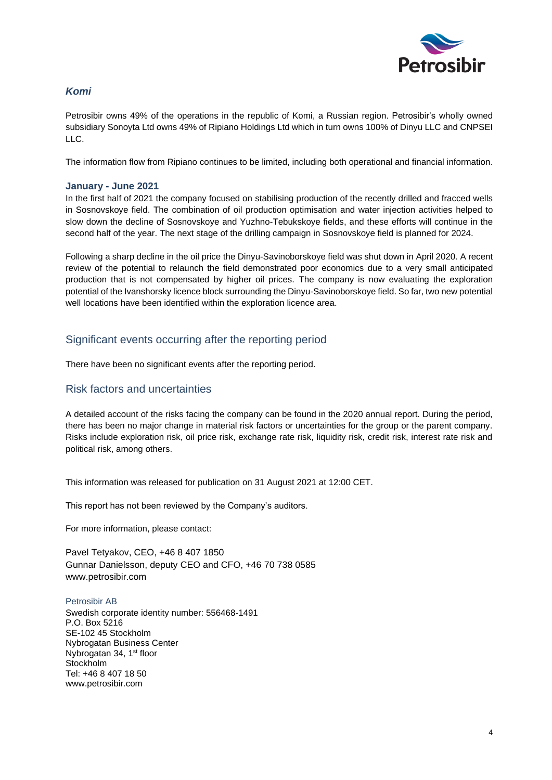

## *Komi*

Petrosibir owns 49% of the operations in the republic of Komi, a Russian region. Petrosibir's wholly owned subsidiary Sonoyta Ltd owns 49% of Ripiano Holdings Ltd which in turn owns 100% of Dinyu LLC and CNPSEI LLC.

The information flow from Ripiano continues to be limited, including both operational and financial information.

#### **January - June 2021**

In the first half of 2021 the company focused on stabilising production of the recently drilled and fracced wells in Sosnovskoye field. The combination of oil production optimisation and water injection activities helped to slow down the decline of Sosnovskoye and Yuzhno-Tebukskoye fields, and these efforts will continue in the second half of the year. The next stage of the drilling campaign in Sosnovskoye field is planned for 2024.

Following a sharp decline in the oil price the Dinyu-Savinoborskoye field was shut down in April 2020. A recent review of the potential to relaunch the field demonstrated poor economics due to a very small anticipated production that is not compensated by higher oil prices. The company is now evaluating the exploration potential of the Ivanshorsky licence block surrounding the Dinyu-Savinoborskoye field. So far, two new potential well locations have been identified within the exploration licence area.

## Significant events occurring after the reporting period

There have been no significant events after the reporting period.

### Risk factors and uncertainties

A detailed account of the risks facing the company can be found in the 2020 annual report. During the period, there has been no major change in material risk factors or uncertainties for the group or the parent company. Risks include exploration risk, oil price risk, exchange rate risk, liquidity risk, credit risk, interest rate risk and political risk, among others.

This information was released for publication on 31 August 2021 at 12:00 CET.

This report has not been reviewed by the Company's auditors.

For more information, please contact:

Pavel Tetyakov, CEO, +46 8 407 1850 Gunnar Danielsson, deputy CEO and CFO, +46 70 738 0585 www.petrosibir.com

Petrosibir AB Swedish corporate identity number: 556468-1491 P.O. Box 5216 SE-102 45 Stockholm Nybrogatan Business Center Nybrogatan 34, 1<sup>st</sup> floor **Stockholm** Tel: +46 8 407 18 50 [www.petrosibir.com](http://www.sheltonpetroleum.com/)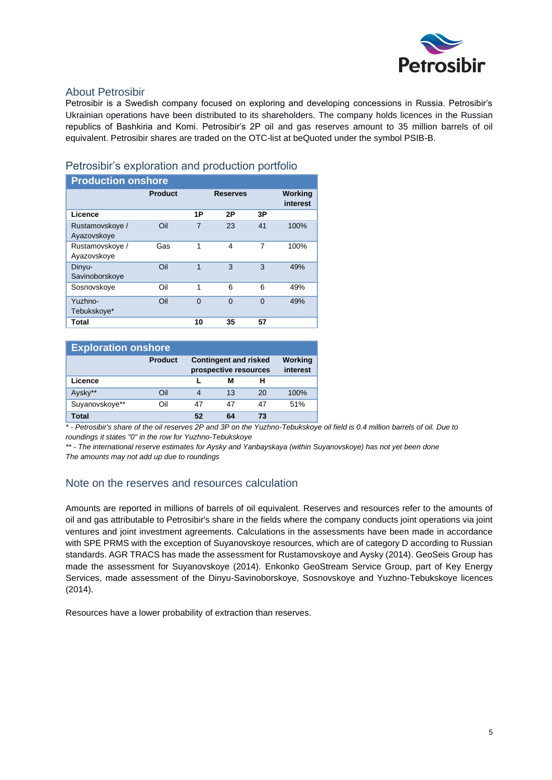

## About Petrosibir

Petrosibir is a Swedish company focused on exploring and developing concessions in Russia. Petrosibir's Ukrainian operations have been distributed to its shareholders. The company holds licences in the Russian republics of Bashkiria and Komi. Petrosibir's 2P oil and gas reserves amount to 35 million barrels of oil equivalent. Petrosibir shares are traded on the OTC-list at beQuoted under the symbol PSIB-B.

### Petrosibir's exploration and production portfolio

| <b>Production onshore</b>      |                |          |                 |    |                     |
|--------------------------------|----------------|----------|-----------------|----|---------------------|
|                                | <b>Product</b> |          | <b>Reserves</b> |    | Working<br>interest |
| Licence                        |                | 1P       | 2Р              | 3Р |                     |
| Rustamovskove /<br>Ayazovskove | Oil            | 7        | 23              | 41 | 100%                |
| Rustamovskove /<br>Ayazovskove | Gas            | 1        | 4               | 7  | 100%                |
| Dinyu-<br>Savinoborskoye       | Oil            | 1        | 3               | 3  | 49%                 |
| Sosnovskove                    | Oil            | 1        | 6               | 6  | 49%                 |
| Yuzhno-<br>Tebukskoye*         | Oil            | $\Omega$ | $\Omega$        | 0  | 49%                 |
| Total                          |                | 10       | 35              | 57 |                     |

| <b>Exploration onshore</b> |                |                                                       |    |    |                     |  |
|----------------------------|----------------|-------------------------------------------------------|----|----|---------------------|--|
|                            | <b>Product</b> | <b>Contingent and risked</b><br>prospective resources |    |    | Working<br>interest |  |
| Licence                    |                |                                                       | м  | н  |                     |  |
| Aysky**                    | Oil            |                                                       | 13 | 20 | 100%                |  |
| Suyanovskoye**             | Oil            | 47                                                    | 47 | 47 | 51%                 |  |
| Total                      |                | 52                                                    | 64 | 73 |                     |  |

*\* - Petrosibir's share of the oil reserves 2P and 3P on the Yuzhno-Tebukskoye oil field is 0.4 million barrels of oil. Due to roundings it states "0" in the row for Yuzhno-Tebukskoye*

*\*\* - The international reserve estimates for Aysky and Yanbayskaya (within Suyanovskoye) has not yet been done The amounts may not add up due to roundings*

## Note on the reserves and resources calculation

Amounts are reported in millions of barrels of oil equivalent. Reserves and resources refer to the amounts of oil and gas attributable to Petrosibir's share in the fields where the company conducts joint operations via joint ventures and joint investment agreements. Calculations in the assessments have been made in accordance with SPE PRMS with the exception of Suyanovskoye resources, which are of category D according to Russian standards. AGR TRACS has made the assessment for Rustamovskoye and Aysky (2014). GeoSeis Group has made the assessment for Suyanovskoye (2014). Enkonko GeoStream Service Group, part of Key Energy Services, made assessment of the Dinyu-Savinoborskoye, Sosnovskoye and Yuzhno-Tebukskoye licences (2014).

Resources have a lower probability of extraction than reserves.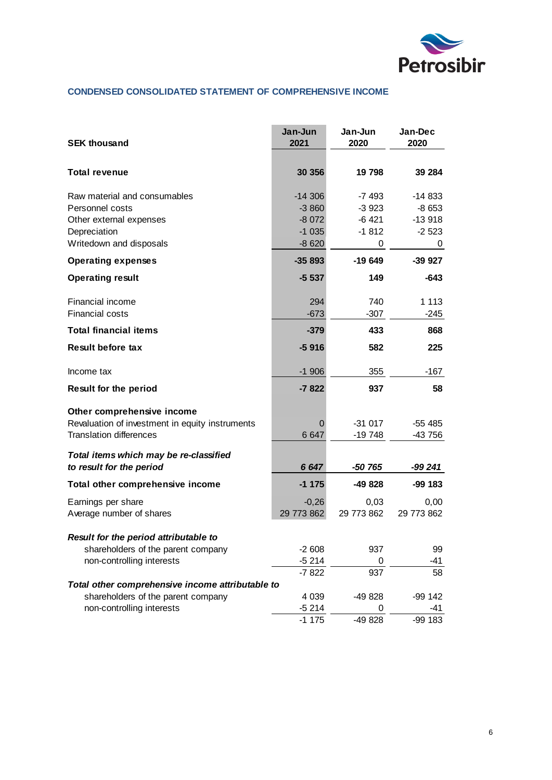

### **CONDENSED CONSOLIDATED STATEMENT OF COMPREHENSIVE INCOME**

| <b>SEK thousand</b>                              | Jan-Jun<br>2021 | Jan-Jun<br>2020 | Jan-Dec<br>2020 |
|--------------------------------------------------|-----------------|-----------------|-----------------|
|                                                  |                 |                 |                 |
| <b>Total revenue</b>                             | 30 356          | 19 798          | 39 284          |
| Raw material and consumables                     | $-14306$        | $-7493$         | -14 833         |
| Personnel costs                                  | $-3860$         | $-3923$         | $-8653$         |
| Other external expenses                          | $-8072$         | $-6421$         | $-13918$        |
| Depreciation                                     | $-1035$         | $-1812$         | $-2523$         |
| Writedown and disposals                          | $-8620$         | 0               | 0               |
| <b>Operating expenses</b>                        | $-35893$        | $-19649$        | -39 927         |
| <b>Operating result</b>                          | $-5537$         | 149             | $-643$          |
| Financial income                                 | 294             | 740             | 1 1 1 3         |
| <b>Financial costs</b>                           | $-673$          | $-307$          | -245            |
| <b>Total financial items</b>                     | $-379$          | 433             | 868             |
| <b>Result before tax</b>                         | $-5916$         | 582             | 225             |
| Income tax                                       | $-1906$         | 355             | $-167$          |
| <b>Result for the period</b>                     | $-7822$         | 937             | 58              |
| Other comprehensive income                       |                 |                 |                 |
| Revaluation of investment in equity instruments  | O               | $-31017$        | -55 485         |
| <b>Translation differences</b>                   | 6 6 4 7         | -19 748         | -43 756         |
| Total items which may be re-classified           |                 |                 |                 |
| to result for the period                         | 6 6 4 7         | -50 765         | -99 241         |
| Total other comprehensive income                 | $-1175$         | -49 828         | -99 183         |
| Earnings per share                               | $-0,26$         | 0,03            | 0,00            |
| Average number of shares                         | 29 773 862      | 29 773 862      | 29 773 862      |
| Result for the period attributable to            |                 |                 |                 |
| shareholders of the parent company               | $-2608$         | 937             | 99              |
| non-controlling interests                        | $-5214$         | 0               | -41             |
|                                                  | $-7822$         | 937             | 58              |
| Total other comprehensive income attributable to |                 |                 |                 |
| shareholders of the parent company               | 4 0 3 9         | -49 828         | $-99142$        |
| non-controlling interests                        | $-5214$         | 0               | -41             |
|                                                  | $-1175$         | -49 828         | -99 183         |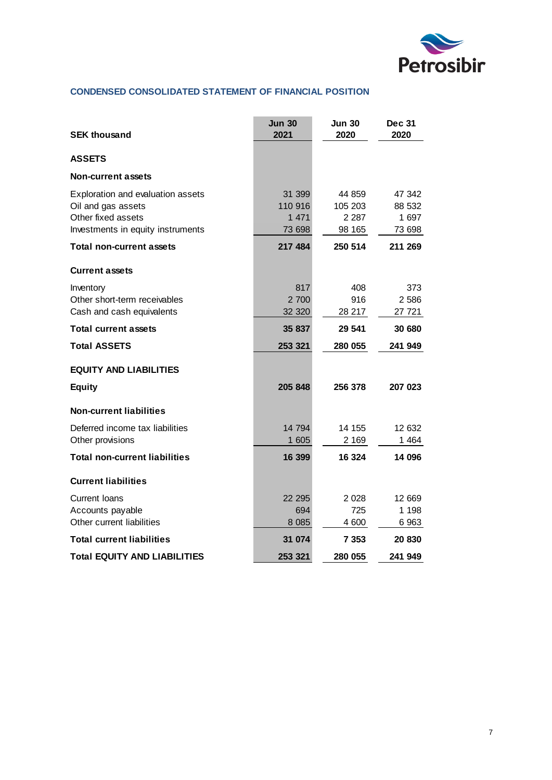

### **CONDENSED CONSOLIDATED STATEMENT OF FINANCIAL POSITION**

| <b>SEK thousand</b>                                                                                                | <b>Jun 30</b><br>2021                  | Jun 30<br>2020                         | <b>Dec 31</b><br>2020               |
|--------------------------------------------------------------------------------------------------------------------|----------------------------------------|----------------------------------------|-------------------------------------|
| <b>ASSETS</b>                                                                                                      |                                        |                                        |                                     |
| <b>Non-current assets</b>                                                                                          |                                        |                                        |                                     |
| Exploration and evaluation assets<br>Oil and gas assets<br>Other fixed assets<br>Investments in equity instruments | 31 399<br>110 916<br>1 4 7 1<br>73 698 | 44 859<br>105 203<br>2 2 8 7<br>98 165 | 47 342<br>88 532<br>1 697<br>73 698 |
| <b>Total non-current assets</b>                                                                                    | 217 484                                | 250 514                                | 211 269                             |
| <b>Current assets</b>                                                                                              |                                        |                                        |                                     |
| Inventory<br>Other short-term receivables<br>Cash and cash equivalents                                             | 817<br>2 700<br>32 320                 | 408<br>916<br>28 217                   | 373<br>2586<br>27 721               |
| <b>Total current assets</b>                                                                                        | 35 837                                 | 29 541                                 | 30 680                              |
| <b>Total ASSETS</b>                                                                                                | 253 321                                | 280 055                                | 241 949                             |
| <b>EQUITY AND LIABILITIES</b>                                                                                      |                                        |                                        |                                     |
| <b>Equity</b>                                                                                                      | 205 848                                | 256 378                                | 207 023                             |
| <b>Non-current liabilities</b>                                                                                     |                                        |                                        |                                     |
| Deferred income tax liabilities<br>Other provisions                                                                | 14 794<br>1 605                        | 14 155<br>2 1 6 9                      | 12 632<br>1 464                     |
| <b>Total non-current liabilities</b>                                                                               | 16 399                                 | 16 324                                 | 14 096                              |
| <b>Current liabilities</b>                                                                                         |                                        |                                        |                                     |
| <b>Current Ioans</b><br>Accounts payable<br>Other current liabilities                                              | 22 295<br>694<br>8 0 8 5               | 2 0 2 8<br>725<br>4 600                | 12 669<br>1 1 9 8<br>6963           |
| <b>Total current liabilities</b>                                                                                   | 31 074                                 | 7 3 5 3                                | 20 830                              |
| <b>Total EQUITY AND LIABILITIES</b>                                                                                | 253 321                                | 280 055                                | 241 949                             |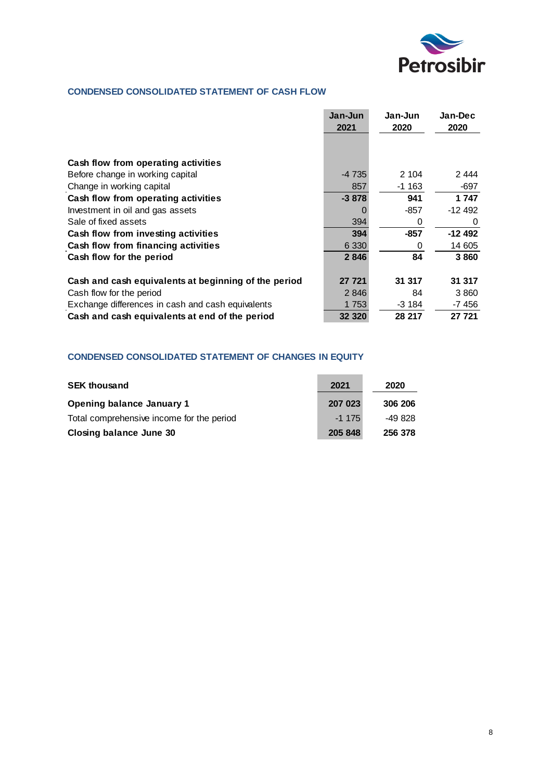

### **CONDENSED CONSOLIDATED STATEMENT OF CASH FLOW**

|                                                      | Jan-Jun<br>2021 | Jan-Jun<br>2020 | Jan-Dec<br>2020 |
|------------------------------------------------------|-----------------|-----------------|-----------------|
|                                                      |                 |                 |                 |
| Cash flow from operating activities                  |                 |                 |                 |
| Before change in working capital                     | $-4735$         | 2 104           | 2 444           |
| Change in working capital                            | 857             | $-1163$         | -697            |
| Cash flow from operating activities                  | $-3878$         | 941             | 1 747           |
| Investment in oil and gas assets                     |                 | -857            | $-12492$        |
| Sale of fixed assets                                 | 394             | 0               | 0               |
| Cash flow from investing activities                  | 394             | $-857$          | -12 492         |
| Cash flow from financing activities                  | 6 3 3 0         | 0               | 14 605          |
| Cash flow for the period                             | 2846            | 84              | 3860            |
| Cash and cash equivalents at beginning of the period | 27 721          | 31 317          | 31 317          |
| Cash flow for the period                             | 2846            | 84              | 3860            |
| Exchange differences in cash and cash equivalents    | 1 753           | -3 184          | -7 456          |
| Cash and cash equivalents at end of the period       | 32 3 20         | 28 217          | 27 721          |

### **CONDENSED CONSOLIDATED STATEMENT OF CHANGES IN EQUITY**

| <b>SEK thousand</b>                       | 2021    | 2020    |
|-------------------------------------------|---------|---------|
| <b>Opening balance January 1</b>          | 207 023 | 306 206 |
| Total comprehensive income for the period | $-1175$ | -49 828 |
| <b>Closing balance June 30</b>            | 205 848 | 256 378 |